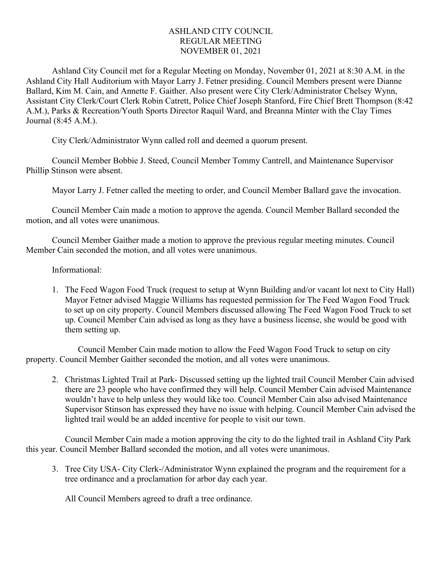## ASHLAND CITY COUNCIL REGULAR MEETING NOVEMBER 01, 2021

Ashland City Council met for a Regular Meeting on Monday, November 01, 2021 at 8:30 A.M. in the Ashland City Hall Auditorium with Mayor Larry J. Fetner presiding. Council Members present were Dianne Ballard, Kim M. Cain, and Annette F. Gaither. Also present were City Clerk/Administrator Chelsey Wynn, Assistant City Clerk/Court Clerk Robin Catrett, Police Chief Joseph Stanford, Fire Chief Brett Thompson (8:42 A.M.), Parks & Recreation/Youth Sports Director Raquil Ward, and Breanna Minter with the Clay Times Journal (8:45 A.M.).

City Clerk/Administrator Wynn called roll and deemed a quorum present.

Council Member Bobbie J. Steed, Council Member Tommy Cantrell, and Maintenance Supervisor Phillip Stinson were absent.

Mayor Larry J. Fetner called the meeting to order, and Council Member Ballard gave the invocation.

Council Member Cain made a motion to approve the agenda. Council Member Ballard seconded the motion, and all votes were unanimous.

Council Member Gaither made a motion to approve the previous regular meeting minutes. Council Member Cain seconded the motion, and all votes were unanimous.

## Informational:

1. The Feed Wagon Food Truck (request to setup at Wynn Building and/or vacant lot next to City Hall) Mayor Fetner advised Maggie Williams has requested permission for The Feed Wagon Food Truck to set up on city property. Council Members discussed allowing The Feed Wagon Food Truck to set up. Council Member Cain advised as long as they have a business license, she would be good with them setting up.

Council Member Cain made motion to allow the Feed Wagon Food Truck to setup on city property. Council Member Gaither seconded the motion, and all votes were unanimous.

2. Christmas Lighted Trail at Park- Discussed setting up the lighted trail Council Member Cain advised there are 23 people who have confirmed they will help. Council Member Cain advised Maintenance wouldn't have to help unless they would like too. Council Member Cain also advised Maintenance Supervisor Stinson has expressed they have no issue with helping. Council Member Cain advised the lighted trail would be an added incentive for people to visit our town.

Council Member Cain made a motion approving the city to do the lighted trail in Ashland City Park this year. Council Member Ballard seconded the motion, and all votes were unanimous.

3. Tree City USA- City Clerk-/Administrator Wynn explained the program and the requirement for a tree ordinance and a proclamation for arbor day each year.

All Council Members agreed to draft a tree ordinance.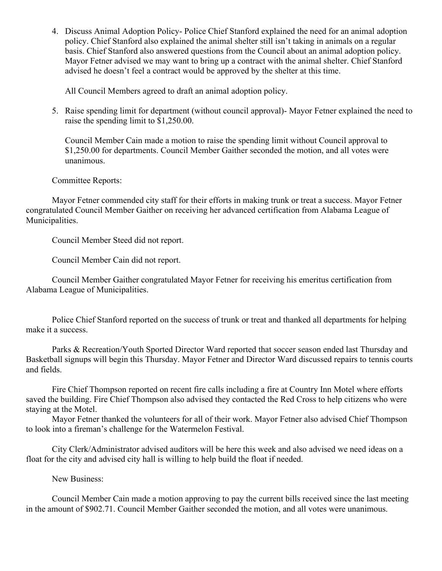4. Discuss Animal Adoption Policy- Police Chief Stanford explained the need for an animal adoption policy. Chief Stanford also explained the animal shelter still isn't taking in animals on a regular basis. Chief Stanford also answered questions from the Council about an animal adoption policy. Mayor Fetner advised we may want to bring up a contract with the animal shelter. Chief Stanford advised he doesn't feel a contract would be approved by the shelter at this time.

All Council Members agreed to draft an animal adoption policy.

5. Raise spending limit for department (without council approval)- Mayor Fetner explained the need to raise the spending limit to \$1,250.00.

Council Member Cain made a motion to raise the spending limit without Council approval to \$1,250.00 for departments. Council Member Gaither seconded the motion, and all votes were unanimous.

Committee Reports:

Mayor Fetner commended city staff for their efforts in making trunk or treat a success. Mayor Fetner congratulated Council Member Gaither on receiving her advanced certification from Alabama League of Municipalities.

Council Member Steed did not report.

Council Member Cain did not report.

Council Member Gaither congratulated Mayor Fetner for receiving his emeritus certification from Alabama League of Municipalities.

Police Chief Stanford reported on the success of trunk or treat and thanked all departments for helping make it a success.

Parks & Recreation/Youth Sported Director Ward reported that soccer season ended last Thursday and Basketball signups will begin this Thursday. Mayor Fetner and Director Ward discussed repairs to tennis courts and fields.

Fire Chief Thompson reported on recent fire calls including a fire at Country Inn Motel where efforts saved the building. Fire Chief Thompson also advised they contacted the Red Cross to help citizens who were staying at the Motel.

Mayor Fetner thanked the volunteers for all of their work. Mayor Fetner also advised Chief Thompson to look into a fireman's challenge for the Watermelon Festival.

City Clerk/Administrator advised auditors will be here this week and also advised we need ideas on a float for the city and advised city hall is willing to help build the float if needed.

New Business:

Council Member Cain made a motion approving to pay the current bills received since the last meeting in the amount of \$902.71. Council Member Gaither seconded the motion, and all votes were unanimous.